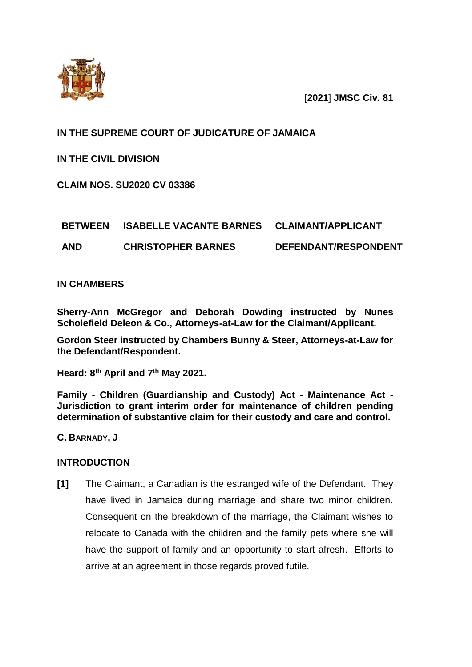

[**2021**] **JMSC Civ. 81**

### **IN THE SUPREME COURT OF JUDICATURE OF JAMAICA**

**IN THE CIVIL DIVISION**

**CLAIM NOS. SU2020 CV 03386**

# **BETWEEN ISABELLE VACANTE BARNES CLAIMANT/APPLICANT**

**AND CHRISTOPHER BARNES DEFENDANT/RESPONDENT**

#### **IN CHAMBERS**

**Sherry-Ann McGregor and Deborah Dowding instructed by Nunes Scholefield Deleon & Co., Attorneys-at-Law for the Claimant/Applicant.** 

**Gordon Steer instructed by Chambers Bunny & Steer, Attorneys-at-Law for the Defendant/Respondent.** 

**Heard: 8 th April and 7 th May 2021.**

**Family - Children (Guardianship and Custody) Act - Maintenance Act - Jurisdiction to grant interim order for maintenance of children pending determination of substantive claim for their custody and care and control.** 

**C. BARNABY, J**

#### **INTRODUCTION**

**[1]** The Claimant, a Canadian is the estranged wife of the Defendant. They have lived in Jamaica during marriage and share two minor children. Consequent on the breakdown of the marriage, the Claimant wishes to relocate to Canada with the children and the family pets where she will have the support of family and an opportunity to start afresh. Efforts to arrive at an agreement in those regards proved futile.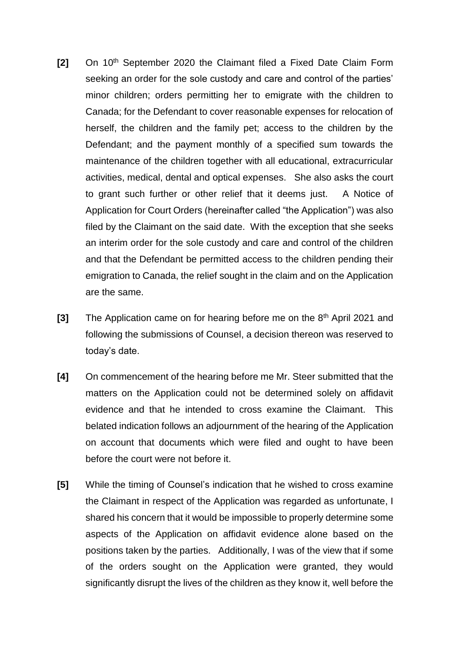- **[2]** On 10th September 2020 the Claimant filed a Fixed Date Claim Form seeking an order for the sole custody and care and control of the parties' minor children; orders permitting her to emigrate with the children to Canada; for the Defendant to cover reasonable expenses for relocation of herself, the children and the family pet; access to the children by the Defendant; and the payment monthly of a specified sum towards the maintenance of the children together with all educational, extracurricular activities, medical, dental and optical expenses. She also asks the court to grant such further or other relief that it deems just. A Notice of Application for Court Orders (hereinafter called "the Application") was also filed by the Claimant on the said date. With the exception that she seeks an interim order for the sole custody and care and control of the children and that the Defendant be permitted access to the children pending their emigration to Canada, the relief sought in the claim and on the Application are the same.
- **[3]** The Application came on for hearing before me on the 8<sup>th</sup> April 2021 and following the submissions of Counsel, a decision thereon was reserved to today's date.
- **[4]** On commencement of the hearing before me Mr. Steer submitted that the matters on the Application could not be determined solely on affidavit evidence and that he intended to cross examine the Claimant. This belated indication follows an adjournment of the hearing of the Application on account that documents which were filed and ought to have been before the court were not before it.
- **[5]** While the timing of Counsel's indication that he wished to cross examine the Claimant in respect of the Application was regarded as unfortunate, I shared his concern that it would be impossible to properly determine some aspects of the Application on affidavit evidence alone based on the positions taken by the parties. Additionally, I was of the view that if some of the orders sought on the Application were granted, they would significantly disrupt the lives of the children as they know it, well before the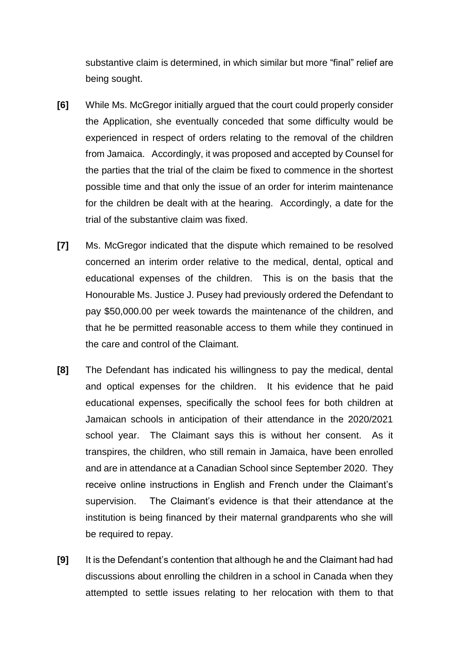substantive claim is determined, in which similar but more "final" relief are being sought.

- **[6]** While Ms. McGregor initially argued that the court could properly consider the Application, she eventually conceded that some difficulty would be experienced in respect of orders relating to the removal of the children from Jamaica. Accordingly, it was proposed and accepted by Counsel for the parties that the trial of the claim be fixed to commence in the shortest possible time and that only the issue of an order for interim maintenance for the children be dealt with at the hearing. Accordingly, a date for the trial of the substantive claim was fixed.
- **[7]** Ms. McGregor indicated that the dispute which remained to be resolved concerned an interim order relative to the medical, dental, optical and educational expenses of the children. This is on the basis that the Honourable Ms. Justice J. Pusey had previously ordered the Defendant to pay \$50,000.00 per week towards the maintenance of the children, and that he be permitted reasonable access to them while they continued in the care and control of the Claimant.
- **[8]** The Defendant has indicated his willingness to pay the medical, dental and optical expenses for the children. It his evidence that he paid educational expenses, specifically the school fees for both children at Jamaican schools in anticipation of their attendance in the 2020/2021 school year. The Claimant says this is without her consent. As it transpires, the children, who still remain in Jamaica, have been enrolled and are in attendance at a Canadian School since September 2020. They receive online instructions in English and French under the Claimant's supervision. The Claimant's evidence is that their attendance at the institution is being financed by their maternal grandparents who she will be required to repay.
- **[9]** It is the Defendant's contention that although he and the Claimant had had discussions about enrolling the children in a school in Canada when they attempted to settle issues relating to her relocation with them to that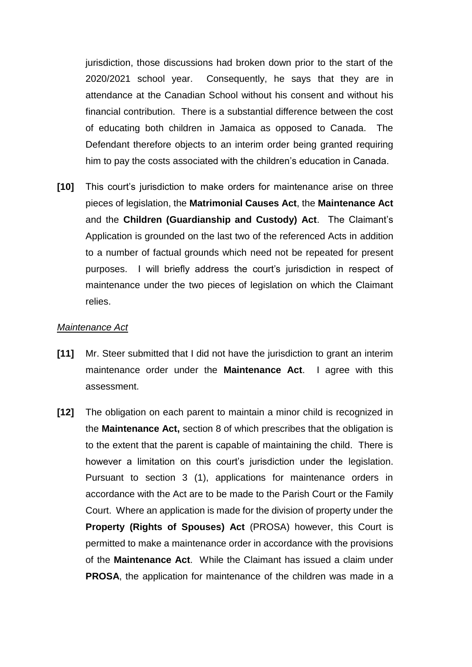jurisdiction, those discussions had broken down prior to the start of the 2020/2021 school year. Consequently, he says that they are in attendance at the Canadian School without his consent and without his financial contribution. There is a substantial difference between the cost of educating both children in Jamaica as opposed to Canada. The Defendant therefore objects to an interim order being granted requiring him to pay the costs associated with the children's education in Canada.

**[10]** This court's jurisdiction to make orders for maintenance arise on three pieces of legislation, the **Matrimonial Causes Act**, the **Maintenance Act**  and the **Children (Guardianship and Custody) Act**. The Claimant's Application is grounded on the last two of the referenced Acts in addition to a number of factual grounds which need not be repeated for present purposes. I will briefly address the court's jurisdiction in respect of maintenance under the two pieces of legislation on which the Claimant relies.

#### *Maintenance Act*

- **[11]** Mr. Steer submitted that I did not have the jurisdiction to grant an interim maintenance order under the **Maintenance Act**. I agree with this assessment.
- **[12]** The obligation on each parent to maintain a minor child is recognized in the **Maintenance Act,** section 8 of which prescribes that the obligation is to the extent that the parent is capable of maintaining the child. There is however a limitation on this court's jurisdiction under the legislation. Pursuant to section 3 (1), applications for maintenance orders in accordance with the Act are to be made to the Parish Court or the Family Court. Where an application is made for the division of property under the **Property (Rights of Spouses) Act** (PROSA) however, this Court is permitted to make a maintenance order in accordance with the provisions of the **Maintenance Act**. While the Claimant has issued a claim under **PROSA**, the application for maintenance of the children was made in a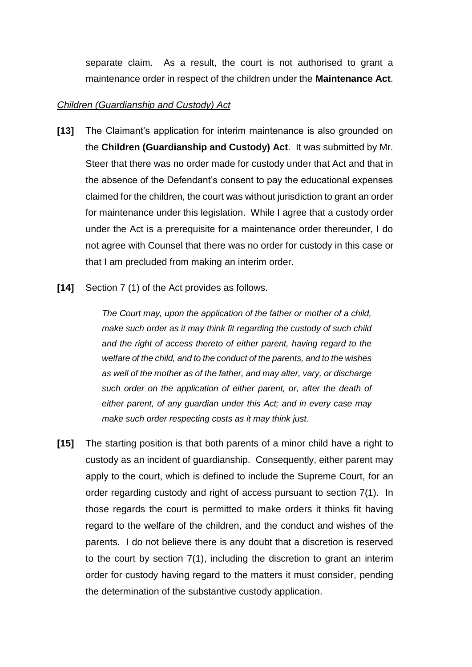separate claim. As a result, the court is not authorised to grant a maintenance order in respect of the children under the **Maintenance Act**.

#### *Children (Guardianship and Custody) Act*

- **[13]** The Claimant's application for interim maintenance is also grounded on the **Children (Guardianship and Custody) Act**. It was submitted by Mr. Steer that there was no order made for custody under that Act and that in the absence of the Defendant's consent to pay the educational expenses claimed for the children, the court was without jurisdiction to grant an order for maintenance under this legislation. While I agree that a custody order under the Act is a prerequisite for a maintenance order thereunder, I do not agree with Counsel that there was no order for custody in this case or that I am precluded from making an interim order.
- **[14]** Section 7 (1) of the Act provides as follows.

*The Court may, upon the application of the father or mother of a child, make such order as it may think fit regarding the custody of such child and the right of access thereto of either parent, having regard to the welfare of the child, and to the conduct of the parents, and to the wishes as well of the mother as of the father, and may alter, vary, or discharge such order on the application of either parent, or, after the death of either parent, of any guardian under this Act; and in every case may make such order respecting costs as it may think just.*

**[15]** The starting position is that both parents of a minor child have a right to custody as an incident of guardianship. Consequently, either parent may apply to the court, which is defined to include the Supreme Court, for an order regarding custody and right of access pursuant to section 7(1). In those regards the court is permitted to make orders it thinks fit having regard to the welfare of the children, and the conduct and wishes of the parents. I do not believe there is any doubt that a discretion is reserved to the court by section 7(1), including the discretion to grant an interim order for custody having regard to the matters it must consider, pending the determination of the substantive custody application.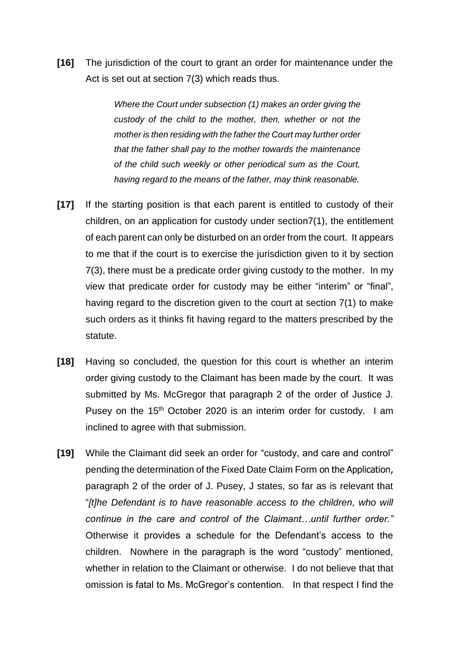**[16]** The jurisdiction of the court to grant an order for maintenance under the Act is set out at section 7(3) which reads thus.

> *Where the Court under subsection (1) makes an order giving the custody of the child to the mother, then, whether or not the mother is then residing with the father the Court may further order that the father shall pay to the mother towards the maintenance of the child such weekly or other periodical sum as the Court, having regard to the means of the father, may think reasonable.*

- **[17]** If the starting position is that each parent is entitled to custody of their children, on an application for custody under section7(1), the entitlement of each parent can only be disturbed on an order from the court. It appears to me that if the court is to exercise the jurisdiction given to it by section 7(3), there must be a predicate order giving custody to the mother. In my view that predicate order for custody may be either "interim" or "final", having regard to the discretion given to the court at section 7(1) to make such orders as it thinks fit having regard to the matters prescribed by the statute.
- **[18]** Having so concluded, the question for this court is whether an interim order giving custody to the Claimant has been made by the court. It was submitted by Ms. McGregor that paragraph 2 of the order of Justice J. Pusey on the 15<sup>th</sup> October 2020 is an interim order for custody. I am inclined to agree with that submission.
- **[19]** While the Claimant did seek an order for "custody, and care and control" pending the determination of the Fixed Date Claim Form on the Application, paragraph 2 of the order of J. Pusey, J states, so far as is relevant that "*[t]he Defendant is to have reasonable access to the children, who will continue in the care and control of the Claimant…until further order."*  Otherwise it provides a schedule for the Defendant's access to the children.Nowhere in the paragraph is the word "custody" mentioned, whether in relation to the Claimant or otherwise. I do not believe that that omission is fatal to Ms. McGregor's contention. In that respect I find the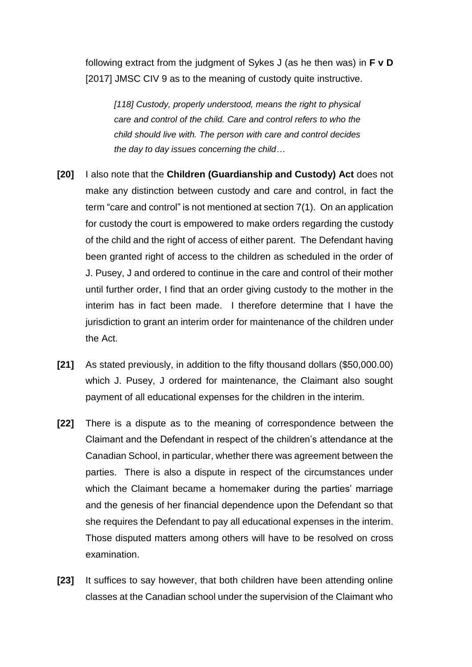following extract from the judgment of Sykes J (as he then was) in **F v D**  [2017] JMSC CIV 9 as to the meaning of custody quite instructive.

*[118] Custody, properly understood, means the right to physical care and control of the child. Care and control refers to who the child should live with. The person with care and control decides the day to day issues concerning the child…*

- **[20]** I also note that the **Children (Guardianship and Custody) Act** does not make any distinction between custody and care and control, in fact the term "care and control" is not mentioned at section 7(1). On an application for custody the court is empowered to make orders regarding the custody of the child and the right of access of either parent. The Defendant having been granted right of access to the children as scheduled in the order of J. Pusey, J and ordered to continue in the care and control of their mother until further order, I find that an order giving custody to the mother in the interim has in fact been made. I therefore determine that I have the jurisdiction to grant an interim order for maintenance of the children under the Act.
- **[21]** As stated previously, in addition to the fifty thousand dollars (\$50,000.00) which J. Pusey, J ordered for maintenance, the Claimant also sought payment of all educational expenses for the children in the interim.
- **[22]** There is a dispute as to the meaning of correspondence between the Claimant and the Defendant in respect of the children's attendance at the Canadian School, in particular, whether there was agreement between the parties. There is also a dispute in respect of the circumstances under which the Claimant became a homemaker during the parties' marriage and the genesis of her financial dependence upon the Defendant so that she requires the Defendant to pay all educational expenses in the interim. Those disputed matters among others will have to be resolved on cross examination.
- **[23]** It suffices to say however, that both children have been attending online classes at the Canadian school under the supervision of the Claimant who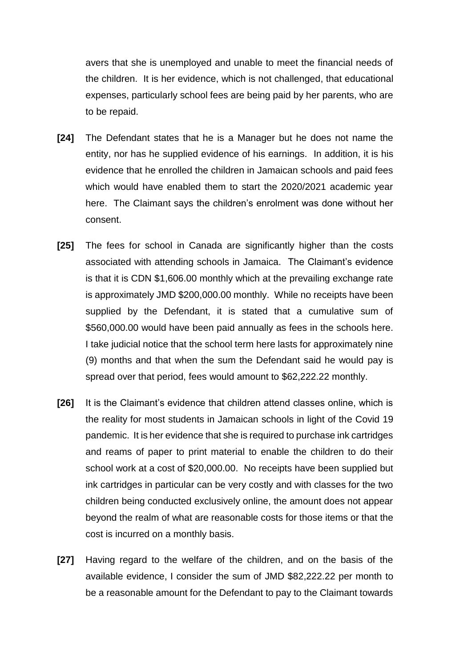avers that she is unemployed and unable to meet the financial needs of the children. It is her evidence, which is not challenged, that educational expenses, particularly school fees are being paid by her parents, who are to be repaid.

- **[24]** The Defendant states that he is a Manager but he does not name the entity, nor has he supplied evidence of his earnings. In addition, it is his evidence that he enrolled the children in Jamaican schools and paid fees which would have enabled them to start the 2020/2021 academic year here. The Claimant says the children's enrolment was done without her consent.
- **[25]** The fees for school in Canada are significantly higher than the costs associated with attending schools in Jamaica. The Claimant's evidence is that it is CDN \$1,606.00 monthly which at the prevailing exchange rate is approximately JMD \$200,000.00 monthly. While no receipts have been supplied by the Defendant, it is stated that a cumulative sum of \$560,000.00 would have been paid annually as fees in the schools here. I take judicial notice that the school term here lasts for approximately nine (9) months and that when the sum the Defendant said he would pay is spread over that period, fees would amount to \$62,222.22 monthly.
- **[26]** It is the Claimant's evidence that children attend classes online, which is the reality for most students in Jamaican schools in light of the Covid 19 pandemic. It is her evidence that she is required to purchase ink cartridges and reams of paper to print material to enable the children to do their school work at a cost of \$20,000.00. No receipts have been supplied but ink cartridges in particular can be very costly and with classes for the two children being conducted exclusively online, the amount does not appear beyond the realm of what are reasonable costs for those items or that the cost is incurred on a monthly basis.
- **[27]** Having regard to the welfare of the children, and on the basis of the available evidence, I consider the sum of JMD \$82,222.22 per month to be a reasonable amount for the Defendant to pay to the Claimant towards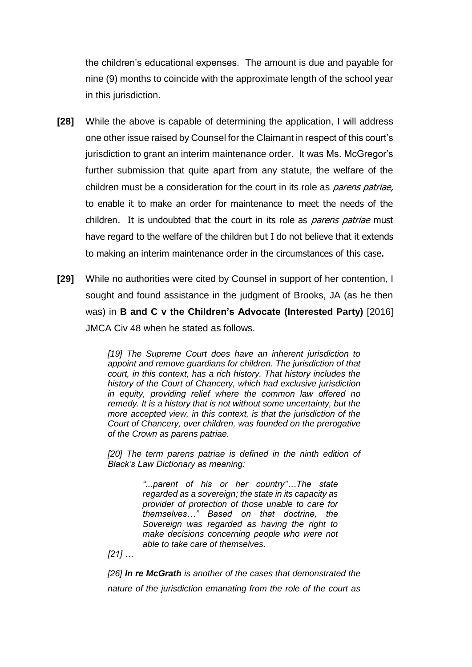the children's educational expenses. The amount is due and payable for nine (9) months to coincide with the approximate length of the school year in this jurisdiction.

- **[28]** While the above is capable of determining the application, I will address one other issue raised by Counsel for the Claimant in respect of this court's jurisdiction to grant an interim maintenance order. It was Ms. McGregor's further submission that quite apart from any statute, the welfare of the children must be a consideration for the court in its role as *parens patriae.* to enable it to make an order for maintenance to meet the needs of the children. It is undoubted that the court in its role as *parens patriae* must have regard to the welfare of the children but I do not believe that it extends to making an interim maintenance order in the circumstances of this case.
- **[29]** While no authorities were cited by Counsel in support of her contention, I sought and found assistance in the judgment of Brooks, JA (as he then was) in **B and C v the Children's Advocate (Interested Party)** [2016] JMCA Civ 48 when he stated as follows.

*[19] The Supreme Court does have an inherent jurisdiction to appoint and remove guardians for children. The jurisdiction of that court, in this context, has a rich history. That history includes the history of the Court of Chancery, which had exclusive jurisdiction in equity, providing relief where the common law offered no remedy. It is a history that is not without some uncertainty, but the more accepted view, in this context, is that the jurisdiction of the Court of Chancery, over children, was founded on the prerogative of the Crown as parens patriae.* 

[20] The term parens patriae is defined in the ninth edition of *Black's Law Dictionary as meaning:* 

> *"...parent of his or her country"…The state regarded as a sovereign; the state in its capacity as provider of protection of those unable to care for themselves…" Based on that doctrine, the Sovereign was regarded as having the right to make decisions concerning people who were not able to take care of themselves.*

*[21] …*

*[26] In re McGrath is another of the cases that demonstrated the nature of the jurisdiction emanating from the role of the court as*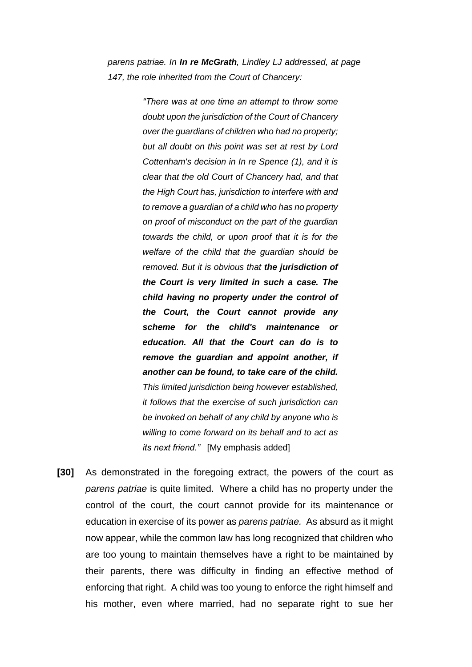*parens patriae. In In re McGrath, Lindley LJ addressed, at page 147, the role inherited from the Court of Chancery:* 

> *"There was at one time an attempt to throw some doubt upon the jurisdiction of the Court of Chancery over the guardians of children who had no property; but all doubt on this point was set at rest by Lord Cottenham's decision in In re Spence (1), and it is clear that the old Court of Chancery had, and that the High Court has, jurisdiction to interfere with and to remove a guardian of a child who has no property on proof of misconduct on the part of the guardian towards the child, or upon proof that it is for the welfare of the child that the guardian should be removed. But it is obvious that the jurisdiction of the Court is very limited in such a case. The child having no property under the control of the Court, the Court cannot provide any scheme for the child's maintenance or education. All that the Court can do is to remove the guardian and appoint another, if another can be found, to take care of the child. This limited jurisdiction being however established, it follows that the exercise of such jurisdiction can be invoked on behalf of any child by anyone who is willing to come forward on its behalf and to act as its next friend."* [My emphasis added]

**[30]** As demonstrated in the foregoing extract, the powers of the court as *parens patriae* is quite limited. Where a child has no property under the control of the court, the court cannot provide for its maintenance or education in exercise of its power as *parens patriae.* As absurd as it might now appear, while the common law has long recognized that children who are too young to maintain themselves have a right to be maintained by their parents, there was difficulty in finding an effective method of enforcing that right. A child was too young to enforce the right himself and his mother, even where married, had no separate right to sue her